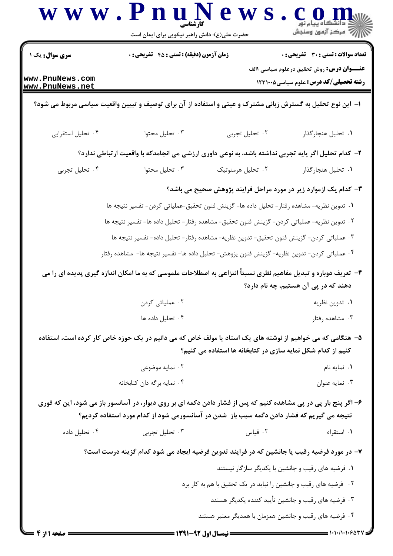|                                    | حضرت علی(ع): دانش راهبر نیکویی برای ایمان است                                                                                                                                                                 |                                                                  | اڪ دانشڪاء پيام نور<br>    > مرکز آزمون وسنڊش                                                            |
|------------------------------------|---------------------------------------------------------------------------------------------------------------------------------------------------------------------------------------------------------------|------------------------------------------------------------------|----------------------------------------------------------------------------------------------------------|
| <b>سری سوال:</b> یک ۱              | <b>زمان آزمون (دقیقه) : تستی : 45 تشریحی : 0</b>                                                                                                                                                              |                                                                  | <b>تعداد سوالات : تستی : 30 ٪ تشریحی : 0</b>                                                             |
| www.PnuNews.com<br>www.PnuNews.net |                                                                                                                                                                                                               |                                                                  | <b>عنـــوان درس:</b> روش تحقیق درعلوم سیاسی <b>۱</b> الف<br><b>رشته تحصیلی/کد درس:</b> علوم سیاسی1۲۳۱۰۰۵ |
|                                    | ۱– این نوع تحلیل به گسترش زبانی مشترک و عینی و استفاده از آن برای توصیف و تبیین واقعیت سیاسی مربوط می شود؟                                                                                                    |                                                                  |                                                                                                          |
| ۰۴ تحلیل استقرایی                  | ۰۳ تحليل محتوا                                                                                                                                                                                                | ۰۲ تحلیل تجربی                                                   | ٠١. تحليل هنجار گذار                                                                                     |
|                                    | ۲– کدام تحلیل اگر پایه تجربی نداشته باشد، به نوعی داوری ارزشی می انجامدکه با واقعیت ارتباطی ندارد؟                                                                                                            |                                                                  |                                                                                                          |
| ۰۴ تحلیل تجربی                     | ۰۳ تحليل محتوا                                                                                                                                                                                                | ٠٢ تحليل هرمنوتيك                                                | ٠١. تحليل هنجار گذار                                                                                     |
|                                    |                                                                                                                                                                                                               | ۳- کدام یک ازموارد زیر در مورد مراحل فرایند پژوهش صحیح می باشد؟  |                                                                                                          |
|                                    | ٠١ تدوين نظريه- مشاهده رفتار- تحليل داده ها- گزينش فنون تحقيق-عملياتي كردن- تفسير نتيجه ها                                                                                                                    |                                                                  |                                                                                                          |
|                                    | ٢ . تدوين نظريه- عملياتي كردن- گزينش فنون تحقيق- مشاهده رفتار- تحليل داده ها- تفسير نتيجه ها                                                                                                                  |                                                                  |                                                                                                          |
|                                    | ۰۳ عملیاتی کردن- گزینش فنون تحقیق- تدوین نظریه- مشاهده رفتار- تحلیل داده- تفسیر نتیجه ها                                                                                                                      |                                                                  |                                                                                                          |
|                                    | ۰۴ عملیاتی کردن- تدوین نظریه- گزینش فنون پژوهش- تحلیل داده ها- تفسیر نتیجه ها-  مشاهده رفتار                                                                                                                  |                                                                  |                                                                                                          |
|                                    | ۴- تعریف دوباره و تبدیل مفاهیم نظری نسبتاً انتزاعی به اصطلاحات ملموسی که به ما امکان اندازه گیری پدیده ای را می                                                                                               |                                                                  |                                                                                                          |
|                                    |                                                                                                                                                                                                               |                                                                  | دهند که در پی آن هستیم، چه نام دارد؟                                                                     |
|                                    | ۰۲ عملیاتی کردن                                                                                                                                                                                               |                                                                  | ۰۱ تدوين نظريه                                                                                           |
|                                    | ۰۴ تحليل داده ها                                                                                                                                                                                              |                                                                  | ۰۳ مشاهده رفتار                                                                                          |
|                                    | ۵– هنگامی که می خواهیم از نوشته های یک استاد یا مولف خاص که می دانیم در یک حوزه خاص کار کرده است، استفاده                                                                                                     |                                                                  |                                                                                                          |
|                                    |                                                                                                                                                                                                               | کنیم از کدام شکل نمایه سازی در کتابخانه ها استفاده می کنیم؟      |                                                                                                          |
|                                    | ۰۲ نمایه موضوعی<br>۰۴ نمایه برگه دان کتابخانه                                                                                                                                                                 |                                                                  | ۰۱ نمایه نام<br>۰۳ نمایه عنوان                                                                           |
|                                    |                                                                                                                                                                                                               |                                                                  |                                                                                                          |
|                                    | ۶– اگر پنج بار پی در پی مشاهده کنیم که پس از فشار دادن دکمه ای بر روی دیوار، در آسانسور باز می شود، این که فوری<br>نتیجه می گیریم که فشار دادن دگمه سبب باز ًشدن در آسانسورمی شود از کدام مورد استفاده کردیم؟ |                                                                  |                                                                                                          |
| ۰۴ تحلیل داده                      | ۰۳ تحلیل تجربی                                                                                                                                                                                                | ۰۲ قیاس                                                          | ٠١. استقراء                                                                                              |
|                                    | ۷– در مورد فرضیه رقیب یا جانشین که در فرایند تدوین فرضیه ایجاد می شود کدام گزینه درست است؟                                                                                                                    |                                                                  |                                                                                                          |
|                                    |                                                                                                                                                                                                               | ٠١ فرضيه هاى رقيب و جانشين با يكديگر سازگار نيستند               |                                                                                                          |
|                                    |                                                                                                                                                                                                               | ۰۲ فرضیه های رقیب و جانشین را نباید در یک تحقیق با هم به کار برد |                                                                                                          |
|                                    |                                                                                                                                                                                                               | ۰۳ فرضیه های رقیب و جانشین تأیید کننده یکدیگر هستند              |                                                                                                          |
|                                    |                                                                                                                                                                                                               | ۰۴ فرضیه های رقیب و جانشین همزمان با همدیگر معتبر هستند          |                                                                                                          |
| = صفحه 1 از 4                      |                                                                                                                                                                                                               |                                                                  |                                                                                                          |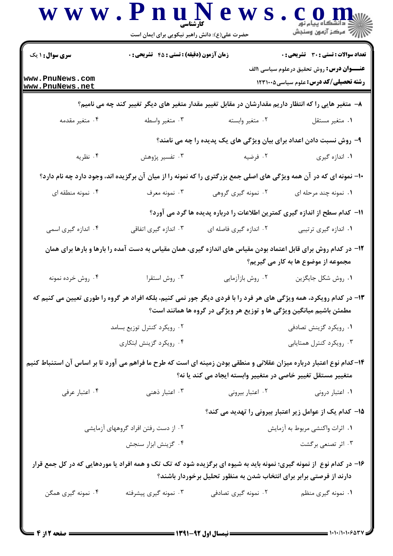| <b>سری سوال :</b> ۱ یک                                                                                              | <b>زمان آزمون (دقیقه) : تستی : 45 قشریحی : 0</b> |                                                                                                                                                                                            | تعداد سوالات : تستي : 30 ٪ تشريحي : 0                                                                     |
|---------------------------------------------------------------------------------------------------------------------|--------------------------------------------------|--------------------------------------------------------------------------------------------------------------------------------------------------------------------------------------------|-----------------------------------------------------------------------------------------------------------|
| www.PnuNews.com<br>www.PnuNews.net                                                                                  |                                                  |                                                                                                                                                                                            | <b>عنـــوان درس:</b> روش تحقیق درعلوم سیاسی <b>۱</b> الف<br><b>رشته تحصیلی/کد درس:</b> علوم سیاسی5۲۳۱۰۰ ک |
|                                                                                                                     |                                                  | ۸− متغیر هایی را که انتظار داریم مقدارشان در مقابل تغییر مقدار متغیر های دیگر تغییر کند چه می نامیم؟                                                                                       |                                                                                                           |
| ۰۴ متغیر مقدمه                                                                                                      | ۰۳ متغیر واسطه                                   | ۰۲ متغیر وابسته                                                                                                                                                                            | ٠١ متغير مستقل                                                                                            |
|                                                                                                                     |                                                  | ۹- روش نسبت دادن اعداد برای بیان ویژگی های یک پدیده را چه می نامند؟                                                                                                                        |                                                                                                           |
| ۰۴ نظریه                                                                                                            | ۰۳ تفسیر پژوهش                                   | ۰۲ فرضیه                                                                                                                                                                                   | ۰۱ اندازه گیری                                                                                            |
|                                                                                                                     |                                                  | ۱۰- نمونه ای که در آن همه ویژگی های اصلی جمع بزرگتری را که نمونه را از میان آن برگزیده اند، وجود دارد چه نام دارد؟                                                                         |                                                                                                           |
| ۰۴ نمونه منطقه ای                                                                                                   | ۰۳ نمونه معرف                                    | ۲. نمونه گیری گروهی                                                                                                                                                                        | ۰۱ نمونه چند مرحله ای                                                                                     |
|                                                                                                                     |                                                  | اا− کدام سطح از اندازه گیری کمترین اطلاعات را درباره پدیده ها گرد می آورد؟                                                                                                                 |                                                                                                           |
| ۰۴ اندازه گیری اسمی                                                                                                 | ۰۳ اندازه گیری اتفاقی                            | ۰۲ اندازه گیری فاصله ای                                                                                                                                                                    | ۰۱ اندازه گیری ترتیبی                                                                                     |
|                                                                                                                     |                                                  | ۱۲– در کدام روش برای قابل اعتماد بودن مقیاس های اندازه گیری، همان مقیاس به دست آمده را بارها و بارها برای همان                                                                             | مجموعه از موضوع ها به کار می گیریم؟                                                                       |
| ۰۴ روش خرده نمونه                                                                                                   | ۰۳ روش استقرا                                    | ۰۲ روش بازآزمایی                                                                                                                                                                           | ٠١. روش شكل جايگزين                                                                                       |
|                                                                                                                     |                                                  | ۱۲- در کدام رویکرد، همه ویژگی های هر فرد را با فردی دیگر جور نمی کنیم، بلکه افراد هر گروه را طوری تعیین می کنیم که<br>مطمئن باشیم میانگین ویژگی ها و توزیع هر ویژگی در گروه ها همانند است؟ |                                                                                                           |
|                                                                                                                     | ۰۲ رویکرد کنترل توزیع بسامد                      |                                                                                                                                                                                            | ۰۱ رویکرد گزینش تصادفی                                                                                    |
|                                                                                                                     | ۰۴ رویکرد گزینش ابتکاری                          |                                                                                                                                                                                            | ۰۳ رویکرد کنترل همتایابی                                                                                  |
| ۱۴–کدام نوع اعتبار درباره میزان عقلانی و منطقی بودن زمینه ای است که طرح ما فراهم می آورد تا بر اساس آن استنباط کنیم |                                                  | متغییر مستقل تغییر خاصی در متغییر وابسته ایجاد می کند یا نه؟                                                                                                                               |                                                                                                           |
| ۰۴ اعتبار عرفي                                                                                                      | ۰۳ اعتبار ذهنی                                   | ۰۲ اعتبار بیرونی                                                                                                                                                                           | ۰۱ اعتبار درونی                                                                                           |
|                                                                                                                     |                                                  |                                                                                                                                                                                            | ۱۵– کدام یک از عوامل زیر اعتبار بیرونی را تهدید می کند؟                                                   |
|                                                                                                                     | ۰۲ از دست رفتن افراد گروههای آزمایشی             |                                                                                                                                                                                            | ۰۱ اثرات واکنشی مربوط به آزمایش                                                                           |
|                                                                                                                     | ۰۴ گزینش ابزار سنجش                              |                                                                                                                                                                                            | ۰۳ اثر تصنعی برگشت                                                                                        |
|                                                                                                                     |                                                  | ۱۶- در کدام نوع از نمونه گیری؛ نمونه باید به شیوه ای برگزیده شود که تک تک و همه افراد یا موردهایی که در کل جمع قرار<br>دارند از فرصتی برابر برای انتخاب شدن به منظور تحلیل برخوردار باشند؟ |                                                                                                           |
| ۰۴ نمونه گیری همگن                                                                                                  | ۰۳ نمونه گیری پیشرفته                            | ۰۲ نمونه گیری تصادفی                                                                                                                                                                       | ۰۱ نمونه گیری منظم                                                                                        |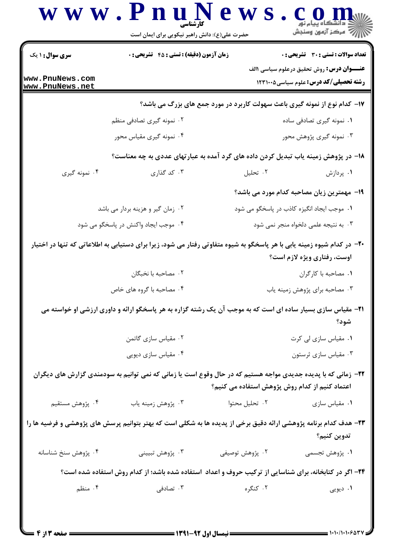| <b>سری سوال :</b> ۱ یک             | <b>زمان آزمون (دقیقه) : تستی : 45 تشریحی : 0</b>                                                                       |                                            | <b>تعداد سوالات : تستی : 30 ٪ تشریحی : 0</b>                                                     |  |
|------------------------------------|------------------------------------------------------------------------------------------------------------------------|--------------------------------------------|--------------------------------------------------------------------------------------------------|--|
| www.PnuNews.com<br>www.PnuNews.net |                                                                                                                        |                                            | <b>عنـــوان درس:</b> روش تحقیق درعلوم سیاسی \الف<br><b>رشته تحصیلی/کد درس:</b> علوم سیاسی1۲۳۱۰۰۵ |  |
|                                    | ۱۷- کدام نوع از نمونه گیری باعث سهولت کاربرد در مورد جمع های بزرگ می باشد؟                                             |                                            |                                                                                                  |  |
|                                    | ۰۲ نمونه گیری تصادفی منظم                                                                                              |                                            | ۰۱ نمونه گیری تصادفی ساده                                                                        |  |
|                                    | ۰۴ نمونه گیری مقیاس محور                                                                                               |                                            | ۰۳ نمونه گیری پژوهش محور                                                                         |  |
|                                    | ۱۸– در پژوهش زمینه یاب تبدیل کردن داده های گرد آمده به عبارتهای عددی به چه معناست؟                                     |                                            |                                                                                                  |  |
| ۰۴ نمونه گیری                      | ۰۳ کد گذاری                                                                                                            | ۰۲ تحلیل                                   | ۰۱ پردازش                                                                                        |  |
|                                    |                                                                                                                        |                                            | 1۹- مهمترین زیان مصاحبه کدام مورد می باشد؟                                                       |  |
| ۰۲ زمان گیر و هزینه بردار می باشد  |                                                                                                                        | ۰۱ موجب ایجاد انگیزه کاذب در پاسخگو می شود |                                                                                                  |  |
|                                    | ۰۴ موجب ایجاد واکنش در پاسخگو می شود                                                                                   |                                            | ۰۳ به نتیجه علمی دلخواه منجر نمی شود                                                             |  |
|                                    | +۲- در کدام شیوه زمینه یابی با هر پاسخگو به شیوه متفاوتی رفتار می شود، زیرا برای دستیابی به اطلاعاتی که تنها در اختیار |                                            | اوست، رفتاری ویژه لازم است؟                                                                      |  |
|                                    | ۰۲ مصاحبه با نخبگان                                                                                                    |                                            | ٠١. مصاحبه با كاركران                                                                            |  |
|                                    | ۰۴ مصاحبه با گروه های خاص                                                                                              |                                            | ۰۳ مصاحبه برای پژوهش زمینه یاب                                                                   |  |
|                                    | <b>۳۱</b> - مقیاس سازی بسیار ساده ای است که به موجب آن یک رشته گزاره به هر پاسخگو ارائه و داوری ارزشی او خواسته می     |                                            | شود؟                                                                                             |  |
|                                    | ۰۲ مقیاس سازی گاتمن                                                                                                    |                                            | ٠١ مقياس سازى لى كرت                                                                             |  |
|                                    | ۰۴ مقیاس سازی دیویی                                                                                                    | ۰۳ مقیاس سازی ثرستون                       |                                                                                                  |  |
|                                    | ۲۲– زمانی که با پدیده جدیدی مواجه هستیم که در حال وقوع است یا زمانی که نمی توانیم به سودمندی گزارش های دیگران          |                                            | اعتماد کنیم از کدام روش پژوهش استفاده می کنیم؟                                                   |  |
| ۴. پژوهش مستقیم                    | ۰۳ پژوهش زمینه یاب                                                                                                     | ۰۲ تحلیل محتوا                             | ۰۱ مقیاس سازی                                                                                    |  |
|                                    | ۲۳– هدف کدام برنامه پژوهشی ارائه دقیق برخی از پدیده ها به شکلی است که بهتر بتوانیم پرسش های پژوهشی و فرضیه ها را       |                                            | تدوين كنيم؟                                                                                      |  |
| ۴. پژوهش سنخ شناسانه               | ۴. پژوهش تبييني                                                                                                        | ۰۲ پژوهش توصیفی                            | ١. پژوهش تجسمى                                                                                   |  |
|                                    | ۲۴– اگر در کتابخانه، برای شناسایی از ترکیب حروف و اعداد استفاده شده باشد؛ از کدام روش استفاده شده است؟                 |                                            |                                                                                                  |  |
|                                    |                                                                                                                        |                                            |                                                                                                  |  |